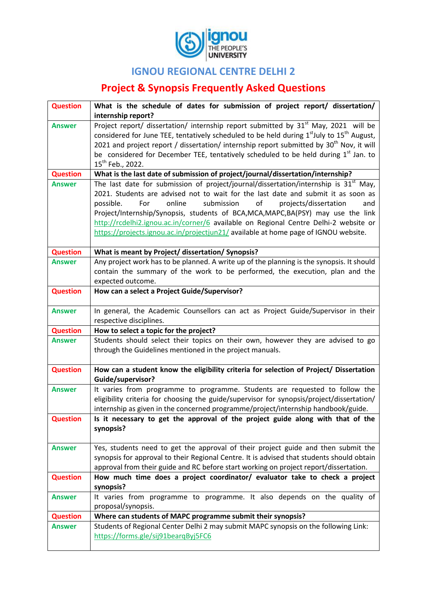

## **IGNOU REGIONAL CENTRE DELHI 2**

## **Project & Synopsis Frequently Asked Questions**

| <b>Question</b> | What is the schedule of dates for submission of project report/ dissertation/                                                                                                  |
|-----------------|--------------------------------------------------------------------------------------------------------------------------------------------------------------------------------|
|                 | internship report?                                                                                                                                                             |
| <b>Answer</b>   | Project report/ dissertation/ internship report submitted by 31 <sup>st</sup> May, 2021 will be                                                                                |
|                 | considered for June TEE, tentatively scheduled to be held during 1 <sup>st</sup> July to 15 <sup>th</sup> August,                                                              |
|                 | 2021 and project report / dissertation/ internship report submitted by 30 <sup>th</sup> Nov, it will                                                                           |
|                 | be considered for December TEE, tentatively scheduled to be held during 1 <sup>st</sup> Jan. to                                                                                |
|                 | 15 <sup>th</sup> Feb., 2022.                                                                                                                                                   |
| <b>Question</b> | What is the last date of submission of project/journal/dissertation/internship?                                                                                                |
| <b>Answer</b>   | The last date for submission of project/journal/dissertation/internship is $31st$ May,                                                                                         |
|                 | 2021. Students are advised not to wait for the last date and submit it as soon as                                                                                              |
|                 | submission<br>of<br>For<br>online<br>projects/dissertation<br>and<br>possible.                                                                                                 |
|                 | Project/Internship/Synopsis, students of BCA, MCA, MAPC, BA(PSY) may use the link                                                                                              |
|                 | http://rcdelhi2.ignou.ac.in/corner/6 available on Regional Centre Delhi-2 website or                                                                                           |
|                 | https://projects.ignou.ac.in/projectjun21/ available at home page of IGNOU website.                                                                                            |
|                 |                                                                                                                                                                                |
| <b>Question</b> | What is meant by Project/ dissertation/ Synopsis?                                                                                                                              |
| <b>Answer</b>   | Any project work has to be planned. A write up of the planning is the synopsis. It should                                                                                      |
|                 | contain the summary of the work to be performed, the execution, plan and the                                                                                                   |
|                 | expected outcome.                                                                                                                                                              |
| <b>Question</b> | How can a select a Project Guide/Supervisor?                                                                                                                                   |
|                 |                                                                                                                                                                                |
| <b>Answer</b>   | In general, the Academic Counsellors can act as Project Guide/Supervisor in their                                                                                              |
|                 | respective disciplines.                                                                                                                                                        |
| <b>Question</b> | How to select a topic for the project?                                                                                                                                         |
| <b>Answer</b>   | Students should select their topics on their own, however they are advised to go                                                                                               |
|                 | through the Guidelines mentioned in the project manuals.                                                                                                                       |
|                 |                                                                                                                                                                                |
| <b>Question</b> | How can a student know the eligibility criteria for selection of Project/ Dissertation                                                                                         |
|                 | Guide/supervisor?                                                                                                                                                              |
| <b>Answer</b>   | It varies from programme to programme. Students are requested to follow the                                                                                                    |
|                 | eligibility criteria for choosing the guide/supervisor for synopsis/project/dissertation/                                                                                      |
|                 | internship as given in the concerned programme/project/internship handbook/guide.                                                                                              |
| <b>Question</b> | Is it necessary to get the approval of the project guide along with that of the                                                                                                |
|                 | synopsis?                                                                                                                                                                      |
|                 |                                                                                                                                                                                |
| <b>Answer</b>   | Yes, students need to get the approval of their project guide and then submit the<br>synopsis for approval to their Regional Centre. It is advised that students should obtain |
|                 | approval from their guide and RC before start working on project report/dissertation.                                                                                          |
| <b>Question</b> | How much time does a project coordinator/ evaluator take to check a project                                                                                                    |
|                 | synopsis?                                                                                                                                                                      |
| <b>Answer</b>   |                                                                                                                                                                                |
|                 | It varies from programme to programme. It also depends on the quality of<br>proposal/synopsis.                                                                                 |
| <b>Question</b> | Where can students of MAPC programme submit their synopsis?                                                                                                                    |
|                 | Students of Regional Center Delhi 2 may submit MAPC synopsis on the following Link:                                                                                            |
| <b>Answer</b>   | https://forms.gle/sij91bearqByj5FC6                                                                                                                                            |
|                 |                                                                                                                                                                                |